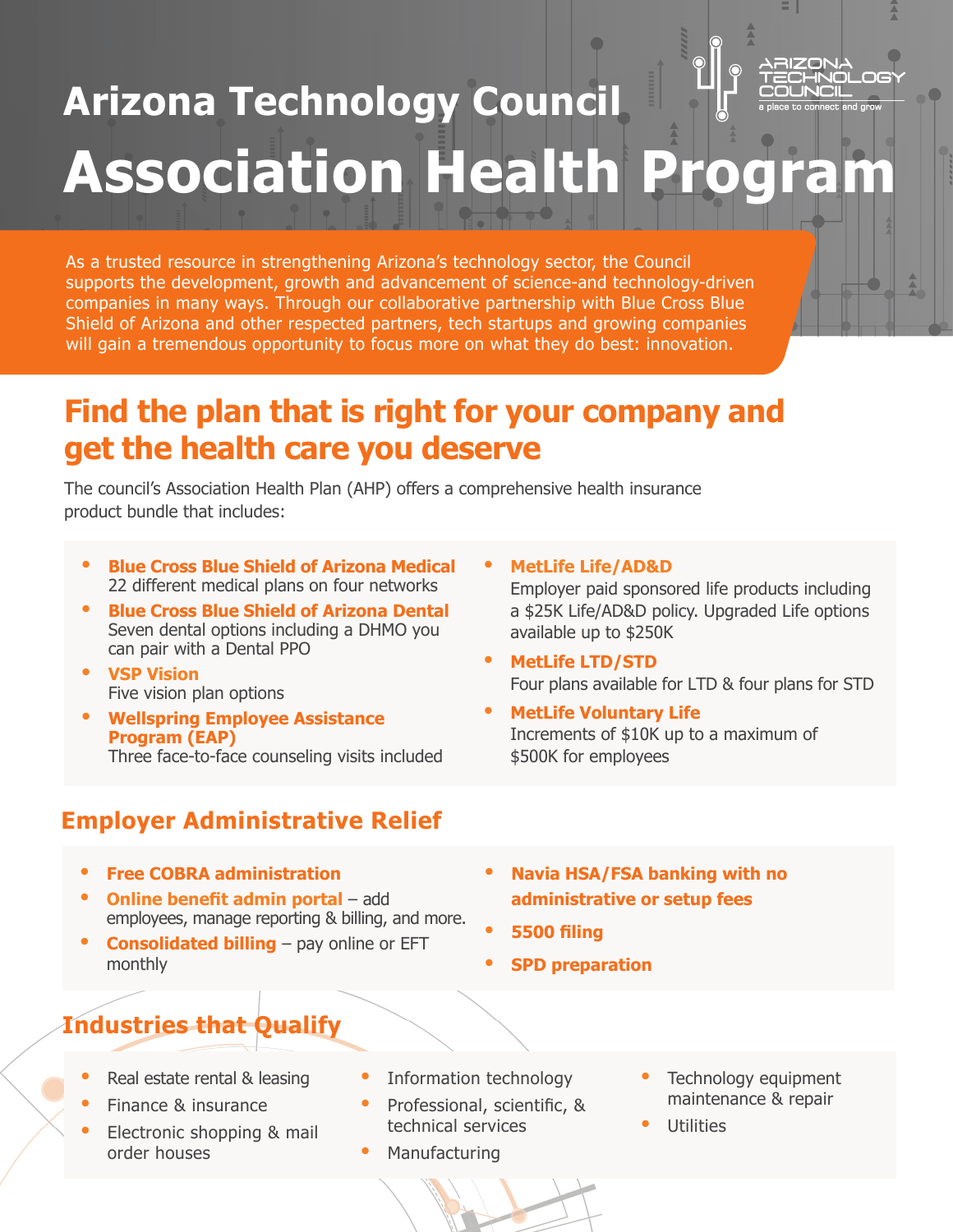## $\Box$ **Arizona Technology Council Association Health Program**

As a trusted resource in strengthening Arizona's technology sector, the Council supports the development, growth and advancement of science-and technology-driven companies in many ways. Through our collaborative partnership with Blue Cross Blue Shield of Arizona and other respected partners, tech startups and growing companies will gain a tremendous opportunity to focus more on what they do best: innovation.

### **Find the plan that is right for your company and get the health care you deserve**

The council's Association Health Plan (AHP) offers a comprehensive health insurance product bundle that includes:

- **• Blue Cross Blue Shield of Arizona Medical** 22 different medical plans on four networks
- **• Blue Cross Blue Shield of Arizona Dental** Seven dental options including a DHMO you can pair with a Dental PPO
- **• VSP Vision** Five vision plan options
- **• Wellspring Employee Assistance Program (EAP)** Three face-to-face counseling visits included

#### **• MetLife LTD/STD** Four plans available for LTD & four plans for STD

**• MetLife Voluntary Life** Increments of \$10K up to a maximum of \$500K for employees

Employer paid sponsored life products including a \$25K Life/AD&D policy. Upgraded Life options

**• MetLife Life/AD&D**

available up to \$250K

#### **Employer Administrative Relief**

- **• Free COBRA administration**
- **• Online benefit admin portal** add employees, manage reporting & billing, and more.
- **• Consolidated billing** pay online or EFT monthly
- **• Navia HSA/FSA banking with no administrative or setup fees**
- **• 5500 filing**
- **• SPD preparation**

#### **Industries that Qualify**

- **•** Real estate rental & leasing
- **•** Finance & insurance
- **•** Electronic shopping & mail order houses
- **•** Information technology
- **•** Professional, scientific, & technical services
- **•** Manufacturing
- **•** Technology equipment maintenance & repair
- **•** Utilities